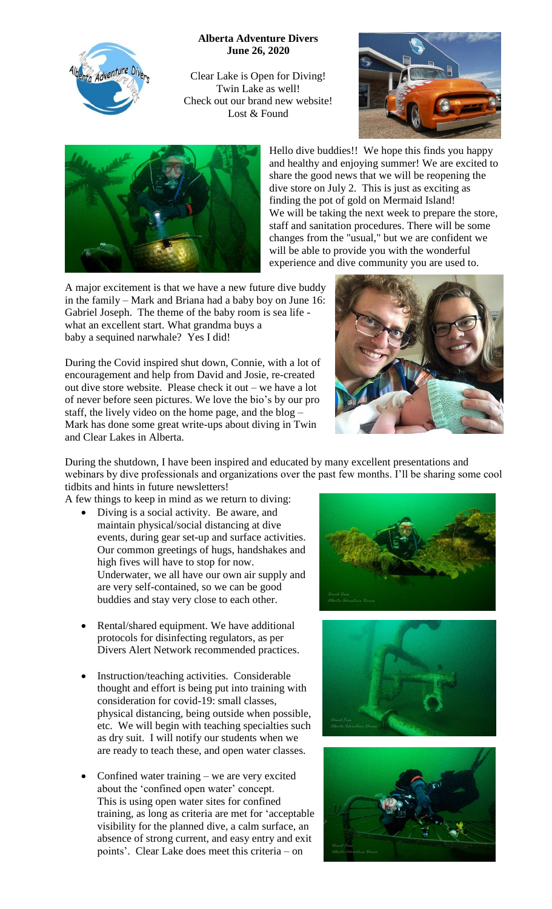

**Alberta Adventure Divers June 26, 2020**

Clear Lake is Open for Diving! Twin Lake as well! Check out our brand new website! Lost & Found





Hello dive buddies!! We hope this finds you happy and healthy and enjoying summer! We are excited to share the good news that we will be reopening the dive store on July 2. This is just as exciting as finding the pot of gold on Mermaid Island! We will be taking the next week to prepare the store, staff and sanitation procedures. There will be some changes from the "usual," but we are confident we will be able to provide you with the wonderful experience and dive community you are used to.

A major excitement is that we have a new future dive buddy in the family – Mark and Briana had a baby boy on June 16: Gabriel Joseph. The theme of the baby room is sea life what an excellent start. What grandma buys a baby a sequined narwhale? Yes I did!

During the Covid inspired shut down, Connie, with a lot of encouragement and help from David and Josie, re-created out dive store website. Please check it out – we have a lot of never before seen pictures. We love the bio's by our pro staff, the lively video on the home page, and the blog – Mark has done some great write-ups about diving in Twin and Clear Lakes in Alberta.



During the shutdown, I have been inspired and educated by many excellent presentations and webinars by dive professionals and organizations over the past few months. I'll be sharing some cool tidbits and hints in future newsletters!

A few things to keep in mind as we return to diving:

- Diving is a social activity. Be aware, and maintain physical/social distancing at dive events, during gear set-up and surface activities. Our common greetings of hugs, handshakes and high fives will have to stop for now. Underwater, we all have our own air supply and are very self-contained, so we can be good buddies and stay very close to each other.
- Rental/shared equipment. We have additional protocols for disinfecting regulators, as per Divers Alert Network recommended practices.
- Instruction/teaching activities. Considerable thought and effort is being put into training with consideration for covid-19: small classes, physical distancing, being outside when possible, etc. We will begin with teaching specialties such as dry suit. I will notify our students when we are ready to teach these, and open water classes.
- Confined water training we are very excited about the 'confined open water' concept. This is using open water sites for confined training, as long as criteria are met for 'acceptable visibility for the planned dive, a calm surface, an absence of strong current, and easy entry and exit points'. Clear Lake does meet this criteria – on